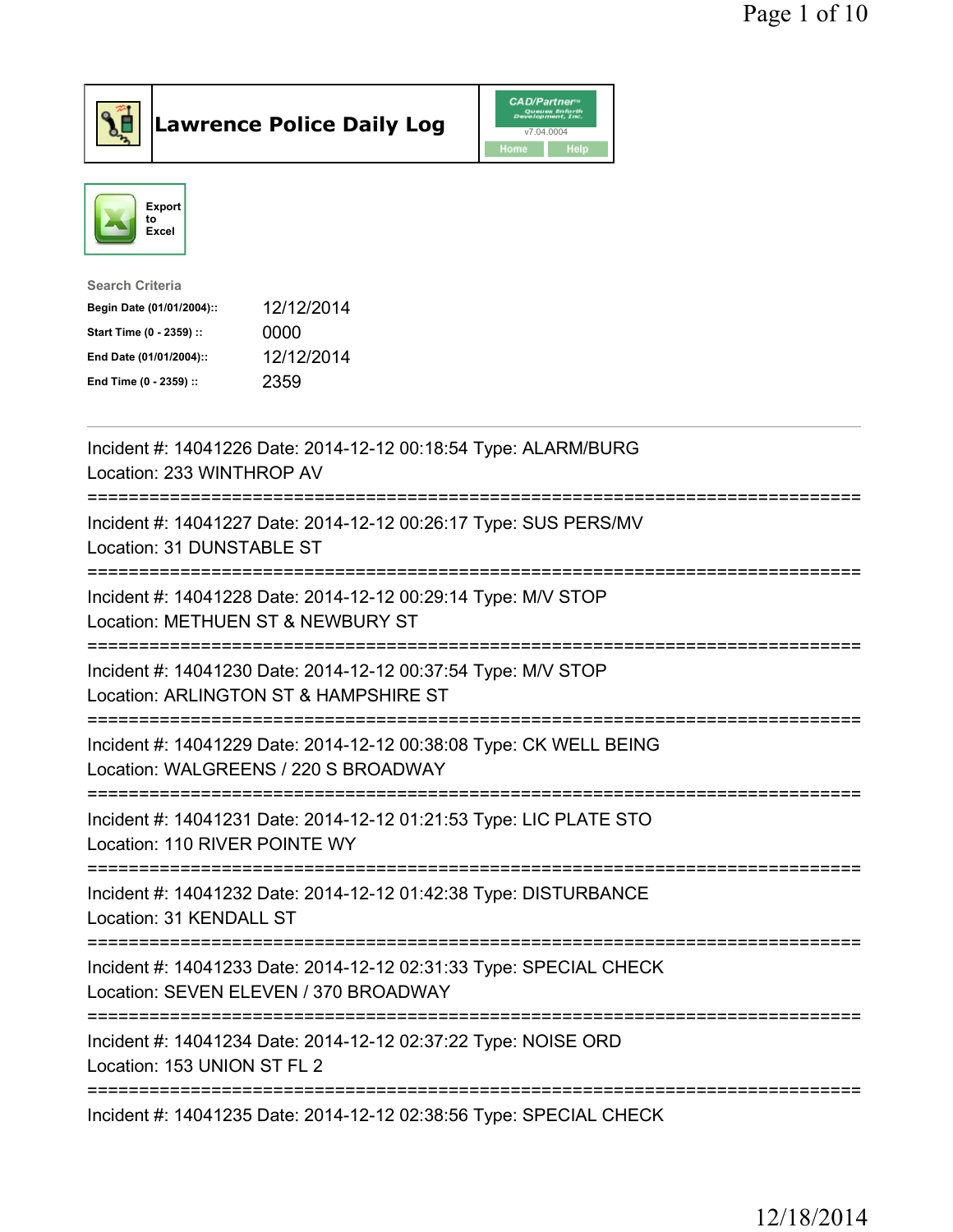



| Search Criteria           |            |
|---------------------------|------------|
| Begin Date (01/01/2004):: | 12/12/2014 |
| Start Time (0 - 2359) ::  | 0000       |
| End Date (01/01/2004)::   | 12/12/2014 |
| End Time (0 - 2359) ::    | 2359       |
|                           |            |

| Incident #: 14041226 Date: 2014-12-12 00:18:54 Type: ALARM/BURG<br>Location: 233 WINTHROP AV                                             |
|------------------------------------------------------------------------------------------------------------------------------------------|
| Incident #: 14041227 Date: 2014-12-12 00:26:17 Type: SUS PERS/MV<br>Location: 31 DUNSTABLE ST                                            |
| Incident #: 14041228 Date: 2014-12-12 00:29:14 Type: M/V STOP<br>Location: METHUEN ST & NEWBURY ST<br>=========================          |
| Incident #: 14041230 Date: 2014-12-12 00:37:54 Type: M/V STOP<br>Location: ARLINGTON ST & HAMPSHIRE ST<br>=========================      |
| Incident #: 14041229 Date: 2014-12-12 00:38:08 Type: CK WELL BEING<br>Location: WALGREENS / 220 S BROADWAY<br>-------------------------- |
| Incident #: 14041231 Date: 2014-12-12 01:21:53 Type: LIC PLATE STO<br>Location: 110 RIVER POINTE WY                                      |
| Incident #: 14041232 Date: 2014-12-12 01:42:38 Type: DISTURBANCE<br>Location: 31 KENDALL ST                                              |
| Incident #: 14041233 Date: 2014-12-12 02:31:33 Type: SPECIAL CHECK<br>Location: SEVEN ELEVEN / 370 BROADWAY                              |
| Incident #: 14041234 Date: 2014-12-12 02:37:22 Type: NOISE ORD<br>Location: 153 UNION ST FL 2                                            |
| Incident #: 14041235 Date: 2014-12-12 02:38:56 Type: SPECIAL CHECK                                                                       |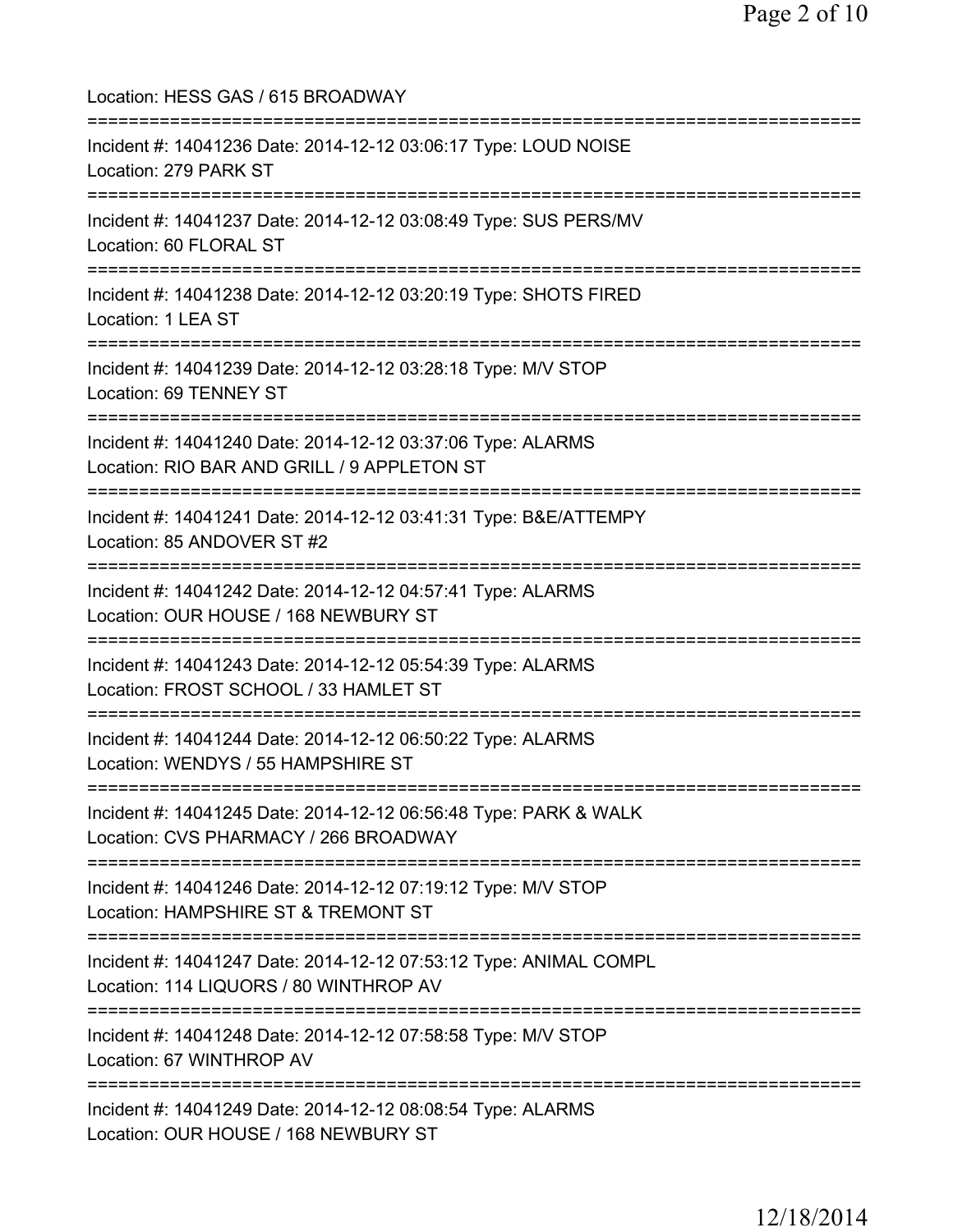| Location: HESS GAS / 615 BROADWAY                                                                                                       |
|-----------------------------------------------------------------------------------------------------------------------------------------|
| Incident #: 14041236 Date: 2014-12-12 03:06:17 Type: LOUD NOISE<br>Location: 279 PARK ST<br>=================                           |
| Incident #: 14041237 Date: 2014-12-12 03:08:49 Type: SUS PERS/MV<br>Location: 60 FLORAL ST<br>====================                      |
| Incident #: 14041238 Date: 2014-12-12 03:20:19 Type: SHOTS FIRED<br>Location: 1 LEA ST                                                  |
| Incident #: 14041239 Date: 2014-12-12 03:28:18 Type: M/V STOP<br>Location: 69 TENNEY ST                                                 |
| Incident #: 14041240 Date: 2014-12-12 03:37:06 Type: ALARMS<br>Location: RIO BAR AND GRILL / 9 APPLETON ST                              |
| Incident #: 14041241 Date: 2014-12-12 03:41:31 Type: B&E/ATTEMPY<br>Location: 85 ANDOVER ST #2                                          |
| Incident #: 14041242 Date: 2014-12-12 04:57:41 Type: ALARMS<br>Location: OUR HOUSE / 168 NEWBURY ST                                     |
| Incident #: 14041243 Date: 2014-12-12 05:54:39 Type: ALARMS<br>Location: FROST SCHOOL / 33 HAMLET ST                                    |
| =================================<br>Incident #: 14041244 Date: 2014-12-12 06:50:22 Type: ALARMS<br>Location: WENDYS / 55 HAMPSHIRE ST  |
| Incident #: 14041245 Date: 2014-12-12 06:56:48 Type: PARK & WALK<br>Location: CVS PHARMACY / 266 BROADWAY                               |
| :==============================<br>Incident #: 14041246 Date: 2014-12-12 07:19:12 Type: M/V STOP<br>Location: HAMPSHIRE ST & TREMONT ST |
| Incident #: 14041247 Date: 2014-12-12 07:53:12 Type: ANIMAL COMPL<br>Location: 114 LIQUORS / 80 WINTHROP AV                             |
| ==========================<br>Incident #: 14041248 Date: 2014-12-12 07:58:58 Type: M/V STOP<br>Location: 67 WINTHROP AV                 |
| Incident #: 14041249 Date: 2014-12-12 08:08:54 Type: ALARMS<br>Location: OUR HOUSE / 168 NEWBURY ST                                     |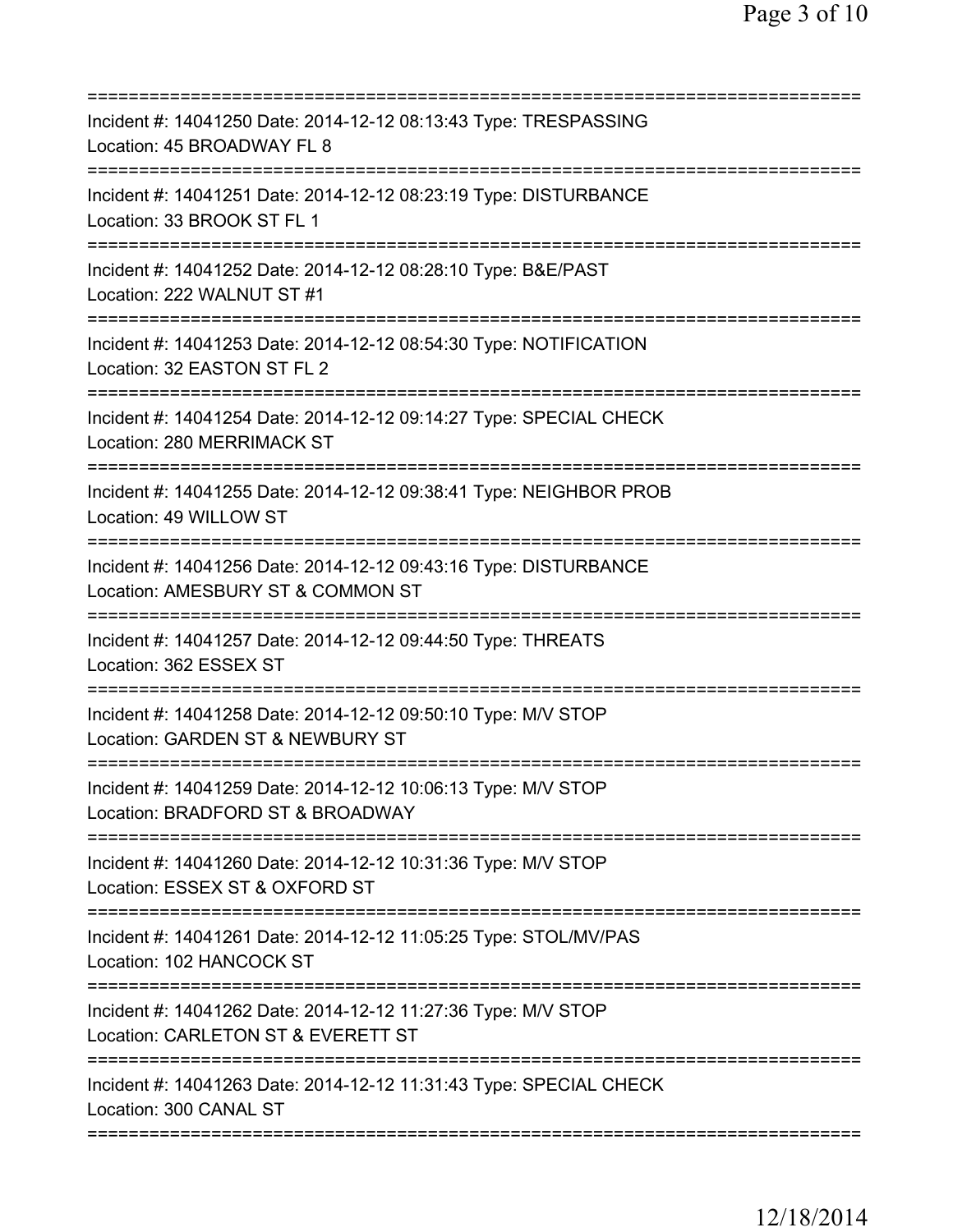| Incident #: 14041250 Date: 2014-12-12 08:13:43 Type: TRESPASSING<br>Location: 45 BROADWAY FL 8        |
|-------------------------------------------------------------------------------------------------------|
| Incident #: 14041251 Date: 2014-12-12 08:23:19 Type: DISTURBANCE<br>Location: 33 BROOK ST FL 1        |
| Incident #: 14041252 Date: 2014-12-12 08:28:10 Type: B&E/PAST<br>Location: 222 WALNUT ST #1           |
| Incident #: 14041253 Date: 2014-12-12 08:54:30 Type: NOTIFICATION<br>Location: 32 EASTON ST FL 2      |
| Incident #: 14041254 Date: 2014-12-12 09:14:27 Type: SPECIAL CHECK<br>Location: 280 MERRIMACK ST      |
| Incident #: 14041255 Date: 2014-12-12 09:38:41 Type: NEIGHBOR PROB<br>Location: 49 WILLOW ST          |
| Incident #: 14041256 Date: 2014-12-12 09:43:16 Type: DISTURBANCE<br>Location: AMESBURY ST & COMMON ST |
| Incident #: 14041257 Date: 2014-12-12 09:44:50 Type: THREATS<br>Location: 362 ESSEX ST                |
| Incident #: 14041258 Date: 2014-12-12 09:50:10 Type: M/V STOP<br>Location: GARDEN ST & NEWBURY ST     |
| Incident #: 14041259 Date: 2014-12-12 10:06:13 Type: M/V STOP<br>Location: BRADFORD ST & BROADWAY     |
| Incident #: 14041260 Date: 2014-12-12 10:31:36 Type: M/V STOP<br>Location: ESSEX ST & OXFORD ST       |
| Incident #: 14041261 Date: 2014-12-12 11:05:25 Type: STOL/MV/PAS<br>Location: 102 HANCOCK ST          |
| Incident #: 14041262 Date: 2014-12-12 11:27:36 Type: M/V STOP<br>Location: CARLETON ST & EVERETT ST   |
| Incident #: 14041263 Date: 2014-12-12 11:31:43 Type: SPECIAL CHECK<br>Location: 300 CANAL ST          |
|                                                                                                       |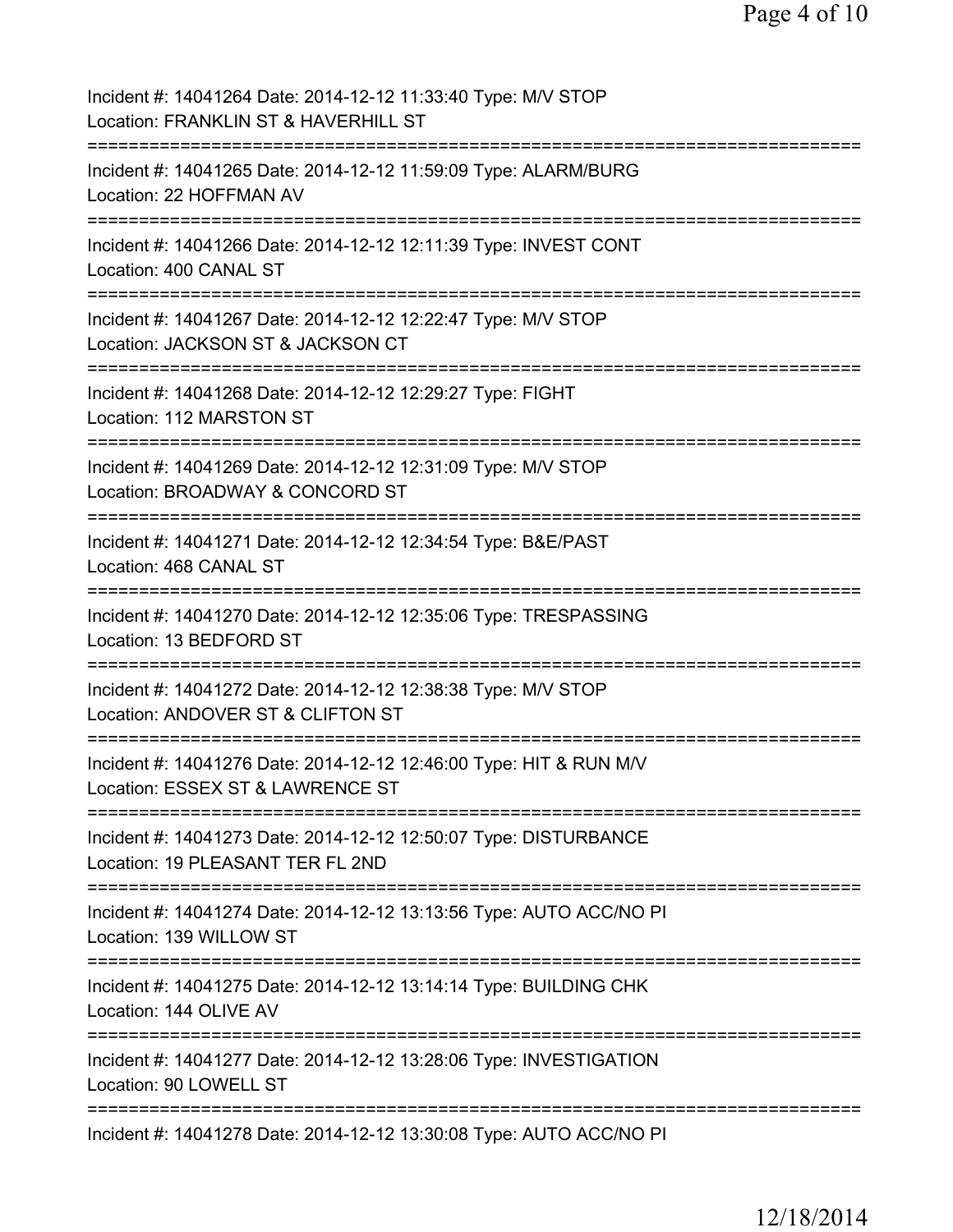Page 4 of 10

| Incident #: 14041264 Date: 2014-12-12 11:33:40 Type: M/V STOP<br>Location: FRANKLIN ST & HAVERHILL ST  |
|--------------------------------------------------------------------------------------------------------|
| Incident #: 14041265 Date: 2014-12-12 11:59:09 Type: ALARM/BURG<br>Location: 22 HOFFMAN AV             |
| Incident #: 14041266 Date: 2014-12-12 12:11:39 Type: INVEST CONT<br>Location: 400 CANAL ST             |
| Incident #: 14041267 Date: 2014-12-12 12:22:47 Type: M/V STOP<br>Location: JACKSON ST & JACKSON CT     |
| Incident #: 14041268 Date: 2014-12-12 12:29:27 Type: FIGHT<br>Location: 112 MARSTON ST                 |
| Incident #: 14041269 Date: 2014-12-12 12:31:09 Type: M/V STOP<br>Location: BROADWAY & CONCORD ST       |
| Incident #: 14041271 Date: 2014-12-12 12:34:54 Type: B&E/PAST<br>Location: 468 CANAL ST                |
| Incident #: 14041270 Date: 2014-12-12 12:35:06 Type: TRESPASSING<br>Location: 13 BEDFORD ST            |
| Incident #: 14041272 Date: 2014-12-12 12:38:38 Type: M/V STOP<br>Location: ANDOVER ST & CLIFTON ST     |
| Incident #: 14041276 Date: 2014-12-12 12:46:00 Type: HIT & RUN M/V<br>Location: ESSEX ST & LAWRENCE ST |
| Incident #: 14041273 Date: 2014-12-12 12:50:07 Type: DISTURBANCE<br>Location: 19 PLEASANT TER FL 2ND   |
| Incident #: 14041274 Date: 2014-12-12 13:13:56 Type: AUTO ACC/NO PI<br>Location: 139 WILLOW ST         |
| Incident #: 14041275 Date: 2014-12-12 13:14:14 Type: BUILDING CHK<br>Location: 144 OLIVE AV            |
| Incident #: 14041277 Date: 2014-12-12 13:28:06 Type: INVESTIGATION<br>Location: 90 LOWELL ST           |
| Incident #: 14041278 Date: 2014-12-12 13:30:08 Type: AUTO ACC/NO PI                                    |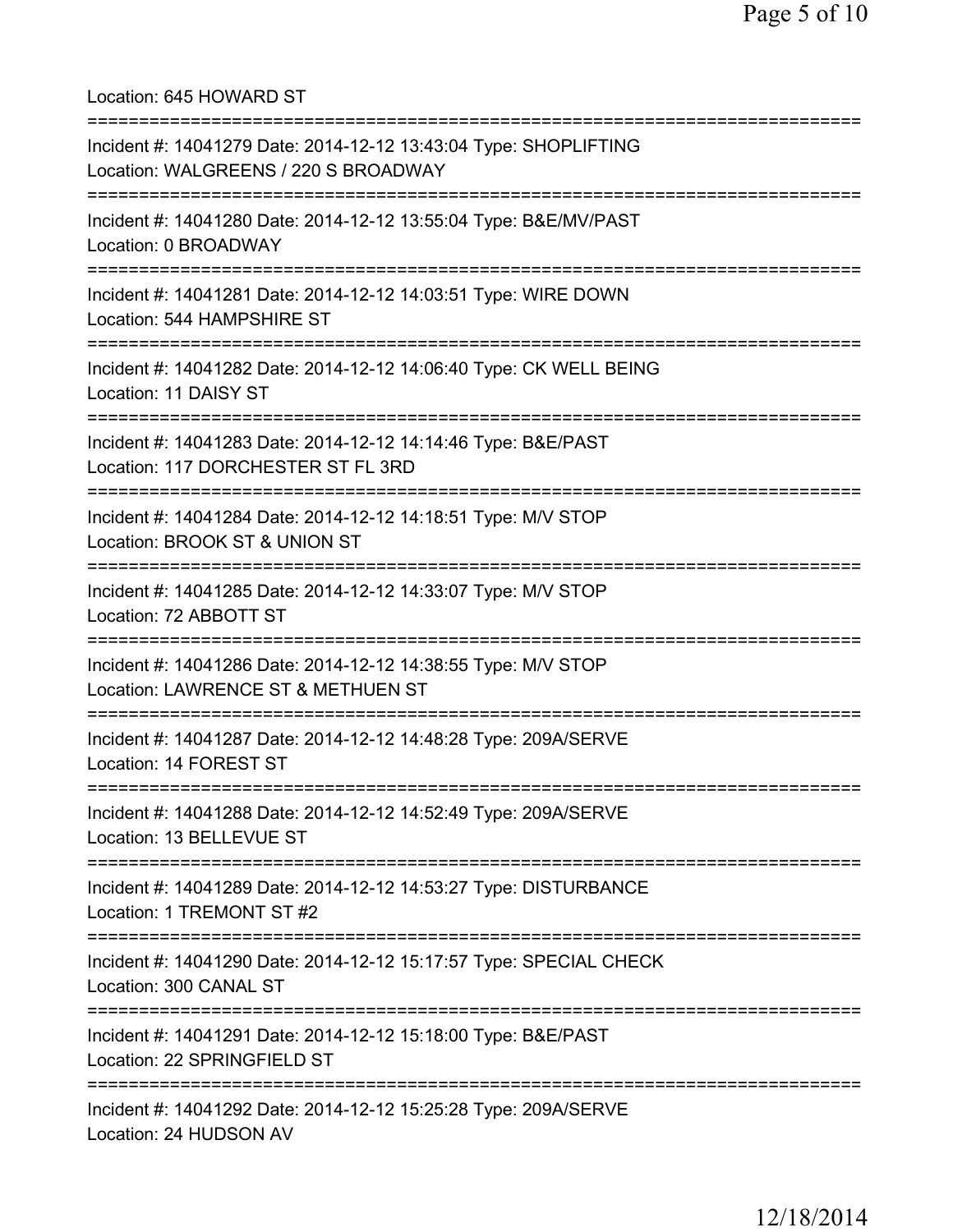Location: 645 HOWARD ST =========================================================================== Incident #: 14041279 Date: 2014-12-12 13:43:04 Type: SHOPLIFTING Location: WALGREENS / 220 S BROADWAY =========================================================================== Incident #: 14041280 Date: 2014-12-12 13:55:04 Type: B&E/MV/PAST Location: 0 BROADWAY =========================================================================== Incident #: 14041281 Date: 2014-12-12 14:03:51 Type: WIRE DOWN Location: 544 HAMPSHIRE ST =========================================================================== Incident #: 14041282 Date: 2014-12-12 14:06:40 Type: CK WELL BEING Location: 11 DAISY ST =========================================================================== Incident #: 14041283 Date: 2014-12-12 14:14:46 Type: B&E/PAST Location: 117 DORCHESTER ST FL 3RD =========================================================================== Incident #: 14041284 Date: 2014-12-12 14:18:51 Type: M/V STOP Location: BROOK ST & UNION ST =========================================================================== Incident #: 14041285 Date: 2014-12-12 14:33:07 Type: M/V STOP Location: 72 ABBOTT ST =========================================================================== Incident #: 14041286 Date: 2014-12-12 14:38:55 Type: M/V STOP Location: LAWRENCE ST & METHUEN ST =========================================================================== Incident #: 14041287 Date: 2014-12-12 14:48:28 Type: 209A/SERVE Location: 14 FOREST ST =========================================================================== Incident #: 14041288 Date: 2014-12-12 14:52:49 Type: 209A/SERVE Location: 13 BELLEVUE ST =========================================================================== Incident #: 14041289 Date: 2014-12-12 14:53:27 Type: DISTURBANCE Location: 1 TREMONT ST #2 =========================================================================== Incident #: 14041290 Date: 2014-12-12 15:17:57 Type: SPECIAL CHECK Location: 300 CANAL ST =========================================================================== Incident #: 14041291 Date: 2014-12-12 15:18:00 Type: B&E/PAST Location: 22 SPRINGFIELD ST =========================================================================== Incident #: 14041292 Date: 2014-12-12 15:25:28 Type: 209A/SERVE Location: 24 HUDSON AV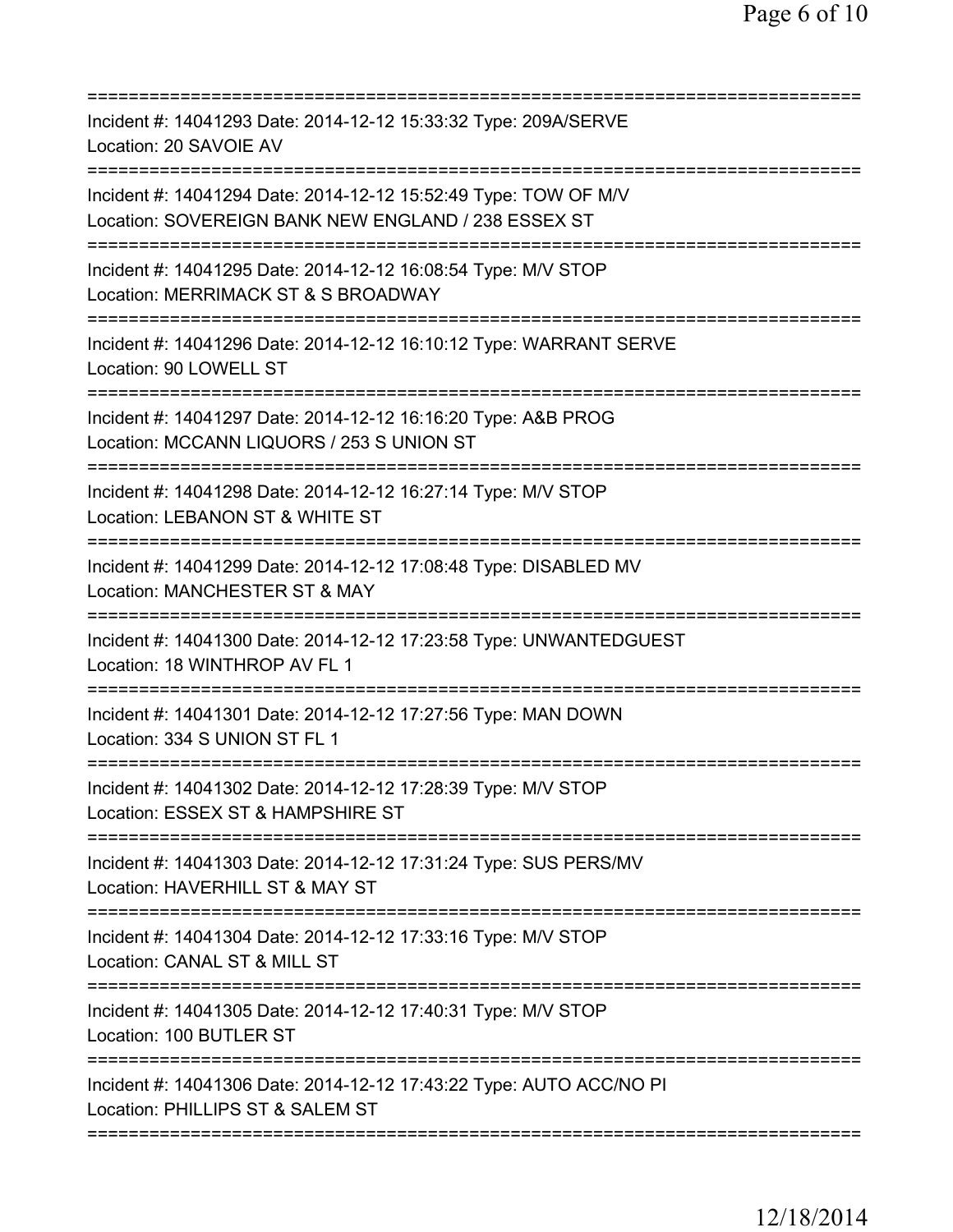| Incident #: 14041293 Date: 2014-12-12 15:33:32 Type: 209A/SERVE<br>Location: 20 SAVOIE AV                                                            |
|------------------------------------------------------------------------------------------------------------------------------------------------------|
| Incident #: 14041294 Date: 2014-12-12 15:52:49 Type: TOW OF M/V<br>Location: SOVEREIGN BANK NEW ENGLAND / 238 ESSEX ST                               |
| Incident #: 14041295 Date: 2014-12-12 16:08:54 Type: M/V STOP<br>Location: MERRIMACK ST & S BROADWAY                                                 |
| Incident #: 14041296 Date: 2014-12-12 16:10:12 Type: WARRANT SERVE<br>Location: 90 LOWELL ST<br>;===================================                 |
| Incident #: 14041297 Date: 2014-12-12 16:16:20 Type: A&B PROG<br>Location: MCCANN LIQUORS / 253 S UNION ST                                           |
| ======================<br>Incident #: 14041298 Date: 2014-12-12 16:27:14 Type: M/V STOP<br>Location: LEBANON ST & WHITE ST                           |
| Incident #: 14041299 Date: 2014-12-12 17:08:48 Type: DISABLED MV<br>Location: MANCHESTER ST & MAY                                                    |
| Incident #: 14041300 Date: 2014-12-12 17:23:58 Type: UNWANTEDGUEST<br>Location: 18 WINTHROP AV FL 1                                                  |
| Incident #: 14041301 Date: 2014-12-12 17:27:56 Type: MAN DOWN<br>Location: 334 S UNION ST FL 1                                                       |
| Incident #: 14041302 Date: 2014-12-12 17:28:39 Type: M/V STOP<br>Location: ESSEX ST & HAMPSHIRE ST                                                   |
| =============================<br>============<br>Incident #: 14041303 Date: 2014-12-12 17:31:24 Type: SUS PERS/MV<br>Location: HAVERHILL ST & MAY ST |
| Incident #: 14041304 Date: 2014-12-12 17:33:16 Type: M/V STOP<br>Location: CANAL ST & MILL ST                                                        |
| Incident #: 14041305 Date: 2014-12-12 17:40:31 Type: M/V STOP<br>Location: 100 BUTLER ST                                                             |
| Incident #: 14041306 Date: 2014-12-12 17:43:22 Type: AUTO ACC/NO PI<br>Location: PHILLIPS ST & SALEM ST                                              |
|                                                                                                                                                      |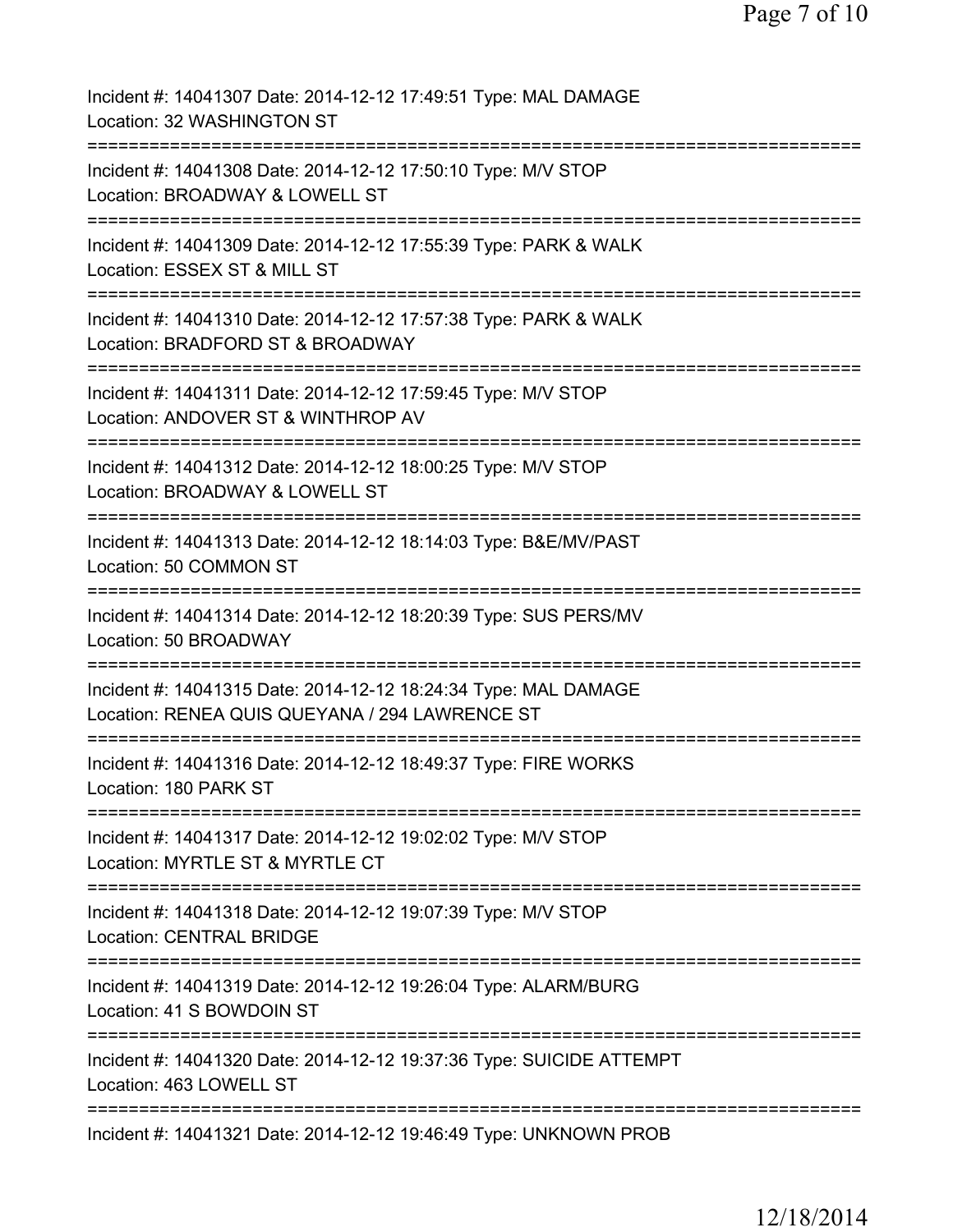| Incident #: 14041307 Date: 2014-12-12 17:49:51 Type: MAL DAMAGE<br>Location: 32 WASHINGTON ST                                                                    |
|------------------------------------------------------------------------------------------------------------------------------------------------------------------|
| Incident #: 14041308 Date: 2014-12-12 17:50:10 Type: M/V STOP<br>Location: BROADWAY & LOWELL ST                                                                  |
| Incident #: 14041309 Date: 2014-12-12 17:55:39 Type: PARK & WALK<br>Location: ESSEX ST & MILL ST                                                                 |
| Incident #: 14041310 Date: 2014-12-12 17:57:38 Type: PARK & WALK<br>Location: BRADFORD ST & BROADWAY                                                             |
| Incident #: 14041311 Date: 2014-12-12 17:59:45 Type: M/V STOP<br>Location: ANDOVER ST & WINTHROP AV<br>:===========                                              |
| Incident #: 14041312 Date: 2014-12-12 18:00:25 Type: M/V STOP<br>Location: BROADWAY & LOWELL ST<br>===================                                           |
| Incident #: 14041313 Date: 2014-12-12 18:14:03 Type: B&E/MV/PAST<br>Location: 50 COMMON ST                                                                       |
| Incident #: 14041314 Date: 2014-12-12 18:20:39 Type: SUS PERS/MV<br>Location: 50 BROADWAY                                                                        |
| Incident #: 14041315 Date: 2014-12-12 18:24:34 Type: MAL DAMAGE<br>Location: RENEA QUIS QUEYANA / 294 LAWRENCE ST                                                |
| Incident #: 14041316 Date: 2014-12-12 18:49:37 Type: FIRE WORKS<br>Location: 180 PARK ST                                                                         |
| Incident #: 14041317 Date: 2014-12-12 19:02:02 Type: M/V STOP<br>Location: MYRTLE ST & MYRTLE CT                                                                 |
| Incident #: 14041318 Date: 2014-12-12 19:07:39 Type: M/V STOP<br><b>Location: CENTRAL BRIDGE</b>                                                                 |
| ======================================<br>======================<br>Incident #: 14041319 Date: 2014-12-12 19:26:04 Type: ALARM/BURG<br>Location: 41 S BOWDOIN ST |
| ================<br>Incident #: 14041320 Date: 2014-12-12 19:37:36 Type: SUICIDE ATTEMPT<br>Location: 463 LOWELL ST                                              |
| Incident #: 14041321 Date: 2014-12-12 19:46:49 Type: UNKNOWN PROB                                                                                                |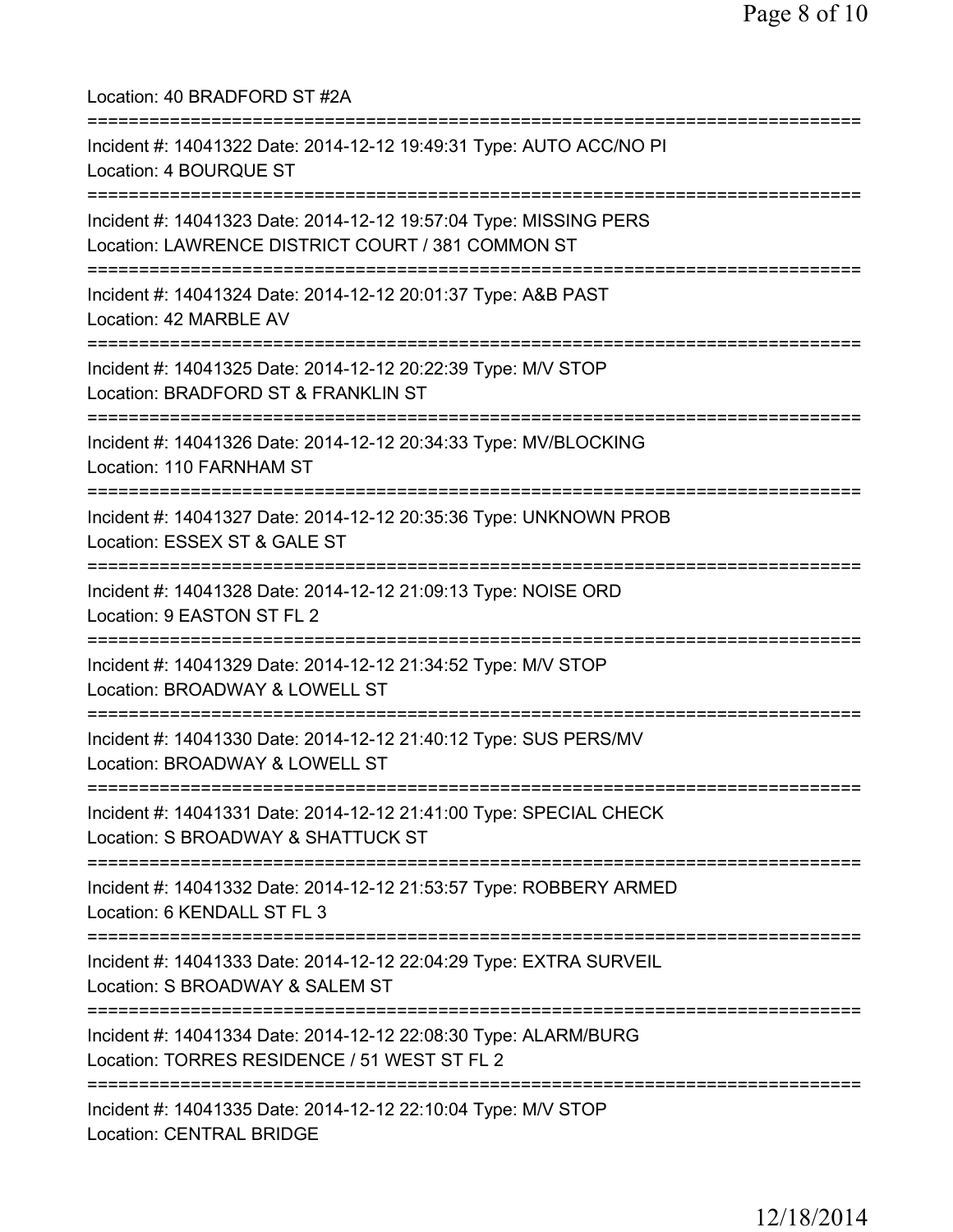Location: 40 BRADFORD ST #2A =========================================================================== Incident #: 14041322 Date: 2014-12-12 19:49:31 Type: AUTO ACC/NO PI Location: 4 BOURQUE ST =========================================================================== Incident #: 14041323 Date: 2014-12-12 19:57:04 Type: MISSING PERS Location: LAWRENCE DISTRICT COURT / 381 COMMON ST =========================================================================== Incident #: 14041324 Date: 2014-12-12 20:01:37 Type: A&B PAST Location: 42 MARBLE AV =========================================================================== Incident #: 14041325 Date: 2014-12-12 20:22:39 Type: M/V STOP Location: BRADFORD ST & FRANKLIN ST =========================================================================== Incident #: 14041326 Date: 2014-12-12 20:34:33 Type: MV/BLOCKING Location: 110 FARNHAM ST =========================================================================== Incident #: 14041327 Date: 2014-12-12 20:35:36 Type: UNKNOWN PROB Location: ESSEX ST & GALE ST =========================================================================== Incident #: 14041328 Date: 2014-12-12 21:09:13 Type: NOISE ORD Location: 9 EASTON ST FL 2 =========================================================================== Incident #: 14041329 Date: 2014-12-12 21:34:52 Type: M/V STOP Location: BROADWAY & LOWELL ST =========================================================================== Incident #: 14041330 Date: 2014-12-12 21:40:12 Type: SUS PERS/MV Location: BROADWAY & LOWELL ST =========================================================================== Incident #: 14041331 Date: 2014-12-12 21:41:00 Type: SPECIAL CHECK Location: S BROADWAY & SHATTUCK ST =========================================================================== Incident #: 14041332 Date: 2014-12-12 21:53:57 Type: ROBBERY ARMED Location: 6 KENDALL ST FL 3 =========================================================================== Incident #: 14041333 Date: 2014-12-12 22:04:29 Type: EXTRA SURVEIL Location: S BROADWAY & SALEM ST =========================================================================== Incident #: 14041334 Date: 2014-12-12 22:08:30 Type: ALARM/BURG Location: TORRES RESIDENCE / 51 WEST ST FL 2 =========================================================================== Incident #: 14041335 Date: 2014-12-12 22:10:04 Type: M/V STOP Location: CENTRAL BRIDGE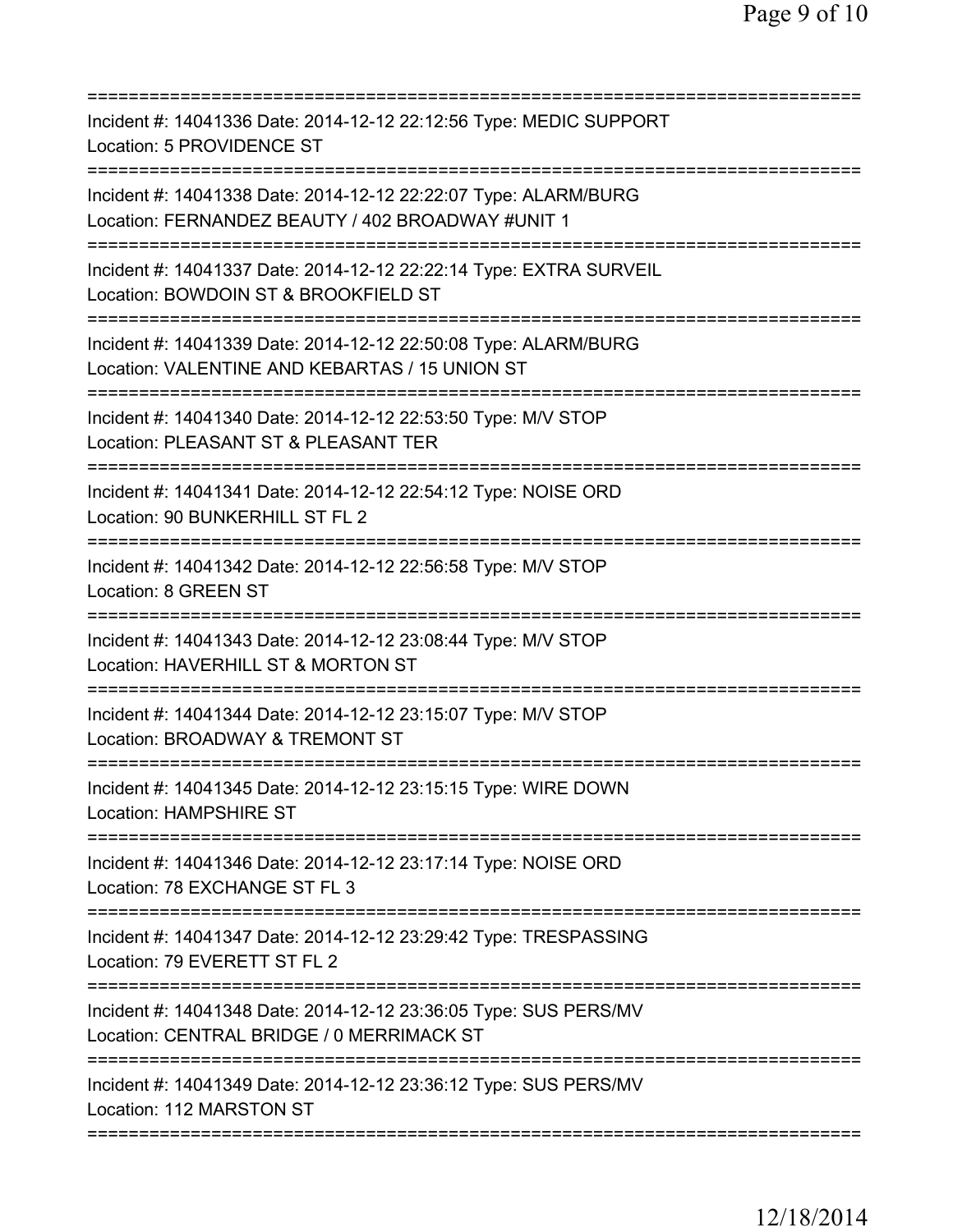| Incident #: 14041336 Date: 2014-12-12 22:12:56 Type: MEDIC SUPPORT<br>Location: 5 PROVIDENCE ST                                                           |
|-----------------------------------------------------------------------------------------------------------------------------------------------------------|
| Incident #: 14041338 Date: 2014-12-12 22:22:07 Type: ALARM/BURG<br>Location: FERNANDEZ BEAUTY / 402 BROADWAY #UNIT 1                                      |
| Incident #: 14041337 Date: 2014-12-12 22:22:14 Type: EXTRA SURVEIL<br>Location: BOWDOIN ST & BROOKFIELD ST                                                |
| Incident #: 14041339 Date: 2014-12-12 22:50:08 Type: ALARM/BURG<br>Location: VALENTINE AND KEBARTAS / 15 UNION ST<br>;=================================== |
| Incident #: 14041340 Date: 2014-12-12 22:53:50 Type: M/V STOP<br>Location: PLEASANT ST & PLEASANT TER<br>======================                           |
| Incident #: 14041341 Date: 2014-12-12 22:54:12 Type: NOISE ORD<br>Location: 90 BUNKERHILL ST FL 2                                                         |
| Incident #: 14041342 Date: 2014-12-12 22:56:58 Type: M/V STOP<br>Location: 8 GREEN ST                                                                     |
| Incident #: 14041343 Date: 2014-12-12 23:08:44 Type: M/V STOP<br>Location: HAVERHILL ST & MORTON ST                                                       |
| Incident #: 14041344 Date: 2014-12-12 23:15:07 Type: M/V STOP<br>Location: BROADWAY & TREMONT ST                                                          |
| Incident #: 14041345 Date: 2014-12-12 23:15:15 Type: WIRE DOWN<br><b>Location: HAMPSHIRE ST</b>                                                           |
| Incident #: 14041346 Date: 2014-12-12 23:17:14 Type: NOISE ORD<br>Location: 78 EXCHANGE ST FL 3                                                           |
| Incident #: 14041347 Date: 2014-12-12 23:29:42 Type: TRESPASSING<br>Location: 79 EVERETT ST FL 2                                                          |
| Incident #: 14041348 Date: 2014-12-12 23:36:05 Type: SUS PERS/MV<br>Location: CENTRAL BRIDGE / 0 MERRIMACK ST                                             |
| Incident #: 14041349 Date: 2014-12-12 23:36:12 Type: SUS PERS/MV<br>Location: 112 MARSTON ST                                                              |
|                                                                                                                                                           |